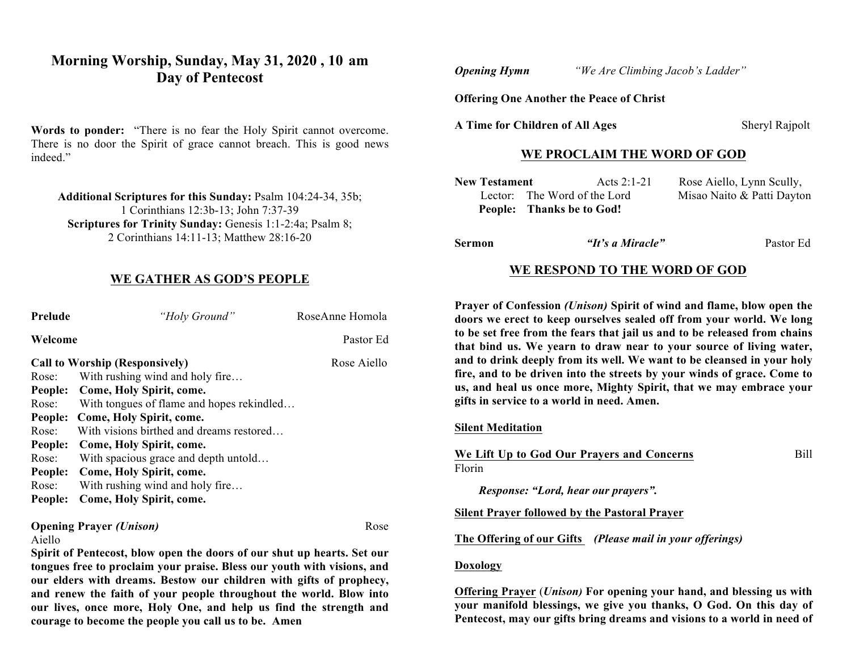# **Morning Worship, Sunday, May 31, 2020 , 10 am Day of Pentecost**

**Words to ponder:** "There is no fear the Holy Spirit cannot overcome. There is no door the Spirit of grace cannot breach. This is good news indeed."

**Additional Scriptures for this Sunday:** Psalm 104:24-34, 35b; 1 Corinthians 12:3b-13; John 7:37-39 **Scriptures for Trinity Sunday:** Genesis 1:1-2:4a; Psalm 8; 2 Corinthians 14:11-13; Matthew 28:16-20

### **WE GATHER AS GOD'S PEOPLE**

| Prelude                                                                 | "Holy Ground"                             | RoseAnne Homola |  |  |
|-------------------------------------------------------------------------|-------------------------------------------|-----------------|--|--|
| Welcome                                                                 |                                           | Pastor Ed       |  |  |
|                                                                         | <b>Call to Worship (Responsively)</b>     | Rose Aiello     |  |  |
| Rose:                                                                   | With rushing wind and holy fire           |                 |  |  |
|                                                                         | People: Come, Holy Spirit, come.          |                 |  |  |
| Rose:                                                                   | With tongues of flame and hopes rekindled |                 |  |  |
| People:                                                                 | Come, Holy Spirit, come.                  |                 |  |  |
| Rose:                                                                   | With visions birthed and dreams restored  |                 |  |  |
| People:                                                                 | Come, Holy Spirit, come.                  |                 |  |  |
| Rose:                                                                   | With spacious grace and depth untold      |                 |  |  |
| People:                                                                 | Come, Holy Spirit, come.                  |                 |  |  |
| Rose:                                                                   | With rushing wind and holy fire           |                 |  |  |
| People:                                                                 | Come, Holy Spirit, come.                  |                 |  |  |
| <b>Opening Prayer (Unison)</b><br>Rose<br>Aiello                        |                                           |                 |  |  |
| Spirit of Pentecost, blow open the doors of our shut up hearts. Set our |                                           |                 |  |  |

**tongues free to proclaim your praise. Bless our youth with visions, and our elders with dreams. Bestow our children with gifts of prophecy, and renew the faith of your people throughout the world. Blow into our lives, once more, Holy One, and help us find the strength and courage to become the people you call us to be. Amen**

*Opening Hymn "We Are Climbing Jacob's Ladder"*

**Offering One Another the Peace of Christ**

A Time for Children of All Ages Sheryl Rajpolt

# **WE PROCLAIM THE WORD OF GOD**

| <b>New Testament</b> | Acts 2:1-21                  | Rose Aiello, Lynn Scully,  |
|----------------------|------------------------------|----------------------------|
|                      | Lector: The Word of the Lord | Misao Naito & Patti Dayton |
|                      | People: Thanks be to God!    |                            |

**Sermon** *"It's a Miracle"* Pastor Ed

## **WE RESPOND TO THE WORD OF GOD**

**Prayer of Confession** *(Unison)* **Spirit of wind and flame, blow open the doors we erect to keep ourselves sealed off from your world. We long to be set free from the fears that jail us and to be released from chains that bind us. We yearn to draw near to your source of living water, and to drink deeply from its well. We want to be cleansed in your holy fire, and to be driven into the streets by your winds of grace. Come to us, and heal us once more, Mighty Spirit, that we may embrace your gifts in service to a world in need. Amen.** 

#### **Silent Meditation**

**We Lift Up to God Our Prayers and Concerns** Bill

Florin

*Response: "Lord, hear our prayers".*

#### **Silent Prayer followed by the Pastoral Prayer**

**The Offering of our Gifts** *(Please mail in your offerings)*

#### **Doxology**

**Offering Prayer** (*Unison)* **For opening your hand, and blessing us with your manifold blessings, we give you thanks, O God. On this day of Pentecost, may our gifts bring dreams and visions to a world in need of**